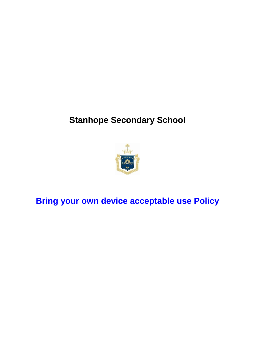# **Stanhope Secondary School**



**Bring your own device acceptable use Policy**